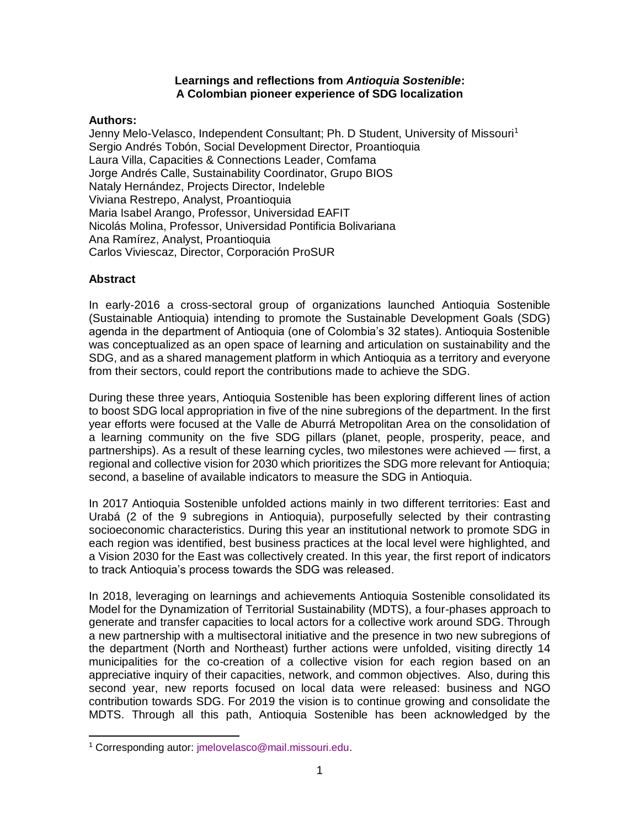#### **Learnings and reflections from** *Antioquia Sostenible***: A Colombian pioneer experience of SDG localization**

#### **Authors:**

Jenny Melo-Velasco, Independent Consultant; Ph. D Student, University of Missouri<sup>1</sup> Sergio Andrés Tobón, Social Development Director, Proantioquia Laura Villa, Capacities & Connections Leader, Comfama Jorge Andrés Calle, Sustainability Coordinator, Grupo BIOS Nataly Hernández, Projects Director, Indeleble Viviana Restrepo, Analyst, Proantioquia Maria Isabel Arango, Professor, Universidad EAFIT Nicolás Molina, Professor, Universidad Pontificia Bolivariana Ana Ramírez, Analyst, Proantioquia Carlos Viviescaz, Director, Corporación ProSUR

### **Abstract**

In early-2016 a cross-sectoral group of organizations launched Antioquia Sostenible (Sustainable Antioquia) intending to promote the Sustainable Development Goals (SDG) agenda in the department of Antioquia (one of Colombia's 32 states). Antioquia Sostenible was conceptualized as an open space of learning and articulation on sustainability and the SDG, and as a shared management platform in which Antioquia as a territory and everyone from their sectors, could report the contributions made to achieve the SDG.

During these three years, Antioquia Sostenible has been exploring different lines of action to boost SDG local appropriation in five of the nine subregions of the department. In the first year efforts were focused at the Valle de Aburrá Metropolitan Area on the consolidation of a learning community on the five SDG pillars (planet, people, prosperity, peace, and partnerships). As a result of these learning cycles, two milestones were achieved — first, a regional and collective vision for 2030 which prioritizes the SDG more relevant for Antioquia; second, a baseline of available indicators to measure the SDG in Antioquia.

In 2017 Antioquia Sostenible unfolded actions mainly in two different territories: East and Urabá (2 of the 9 subregions in Antioquia), purposefully selected by their contrasting socioeconomic characteristics. During this year an institutional network to promote SDG in each region was identified, best business practices at the local level were highlighted, and a Vision 2030 for the East was collectively created. In this year, the first report of indicators to track Antioquia's process towards the SDG was released.

In 2018, leveraging on learnings and achievements Antioquia Sostenible consolidated its Model for the Dynamization of Territorial Sustainability (MDTS), a four-phases approach to generate and transfer capacities to local actors for a collective work around SDG. Through a new partnership with a multisectoral initiative and the presence in two new subregions of the department (North and Northeast) further actions were unfolded, visiting directly 14 municipalities for the co-creation of a collective vision for each region based on an appreciative inquiry of their capacities, network, and common objectives. Also, during this second year, new reports focused on local data were released: business and NGO contribution towards SDG. For 2019 the vision is to continue growing and consolidate the MDTS. Through all this path, Antioquia Sostenible has been acknowledged by the

<sup>1</sup> Corresponding autor: jmelovelasco@mail.missouri.edu.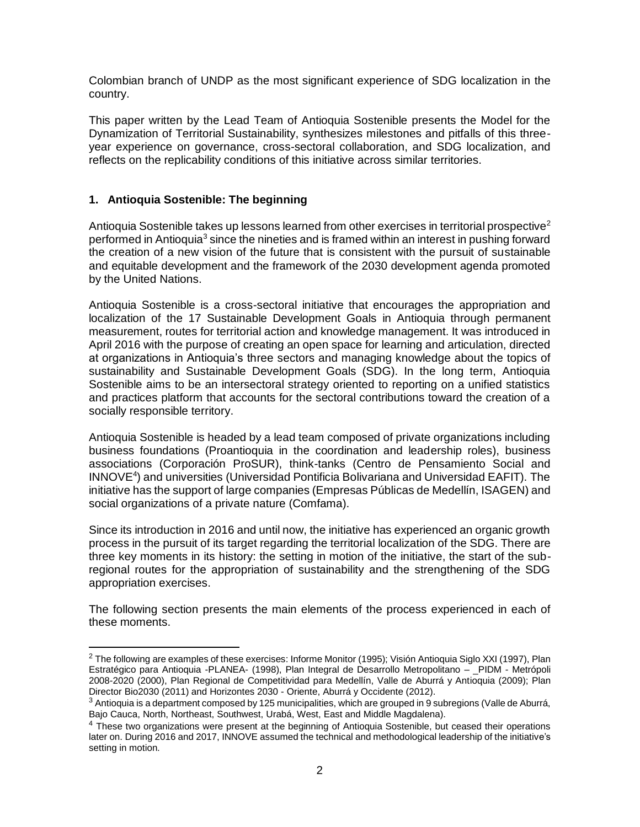Colombian branch of UNDP as the most significant experience of SDG localization in the country.

This paper written by the Lead Team of Antioquia Sostenible presents the Model for the Dynamization of Territorial Sustainability, synthesizes milestones and pitfalls of this threeyear experience on governance, cross-sectoral collaboration, and SDG localization, and reflects on the replicability conditions of this initiative across similar territories.

## **1. Antioquia Sostenible: The beginning**

 $\overline{a}$ 

Antioquia Sostenible takes up lessons learned from other exercises in territorial prospective<sup>2</sup> performed in Antioquia<sup>3</sup> since the nineties and is framed within an interest in pushing forward the creation of a new vision of the future that is consistent with the pursuit of sustainable and equitable development and the framework of the 2030 development agenda promoted by the United Nations.

Antioquia Sostenible is a cross-sectoral initiative that encourages the appropriation and localization of the 17 Sustainable Development Goals in Antioquia through permanent measurement, routes for territorial action and knowledge management. It was introduced in April 2016 with the purpose of creating an open space for learning and articulation, directed at organizations in Antioquia's three sectors and managing knowledge about the topics of sustainability and Sustainable Development Goals (SDG). In the long term, Antioquia Sostenible aims to be an intersectoral strategy oriented to reporting on a unified statistics and practices platform that accounts for the sectoral contributions toward the creation of a socially responsible territory.

Antioquia Sostenible is headed by a lead team composed of private organizations including business foundations (Proantioquia in the coordination and leadership roles), business associations (Corporación ProSUR), think-tanks (Centro de Pensamiento Social and INNOVE<sup>4</sup> ) and universities (Universidad Pontificia Bolivariana and Universidad EAFIT). The initiative has the support of large companies (Empresas Públicas de Medellín, ISAGEN) and social organizations of a private nature (Comfama).

Since its introduction in 2016 and until now, the initiative has experienced an organic growth process in the pursuit of its target regarding the territorial localization of the SDG. There are three key moments in its history: the setting in motion of the initiative, the start of the subregional routes for the appropriation of sustainability and the strengthening of the SDG appropriation exercises.

The following section presents the main elements of the process experienced in each of these moments.

 $2$  The following are examples of these exercises: Informe Monitor (1995); Visión Antioquia Siglo XXI (1997), Plan Estratégico para Antioquia -PLANEA- (1998), Plan Integral de Desarrollo Metropolitano – PIDM - Metrópoli 2008-2020 (2000), Plan Regional de Competitividad para Medellín, Valle de Aburrá y Antioquia (2009); Plan Director Bio2030 (2011) and Horizontes 2030 - Oriente, Aburrá y Occidente (2012).

 $3$  Antioquia is a department composed by 125 municipalities, which are grouped in 9 subregions (Valle de Aburrá, Bajo Cauca, North, Northeast, Southwest, Urabá, West, East and Middle Magdalena).

 $<sup>4</sup>$  These two organizations were present at the beginning of Antioquia Sostenible, but ceased their operations</sup> later on. During 2016 and 2017, INNOVE assumed the technical and methodological leadership of the initiative's setting in motion.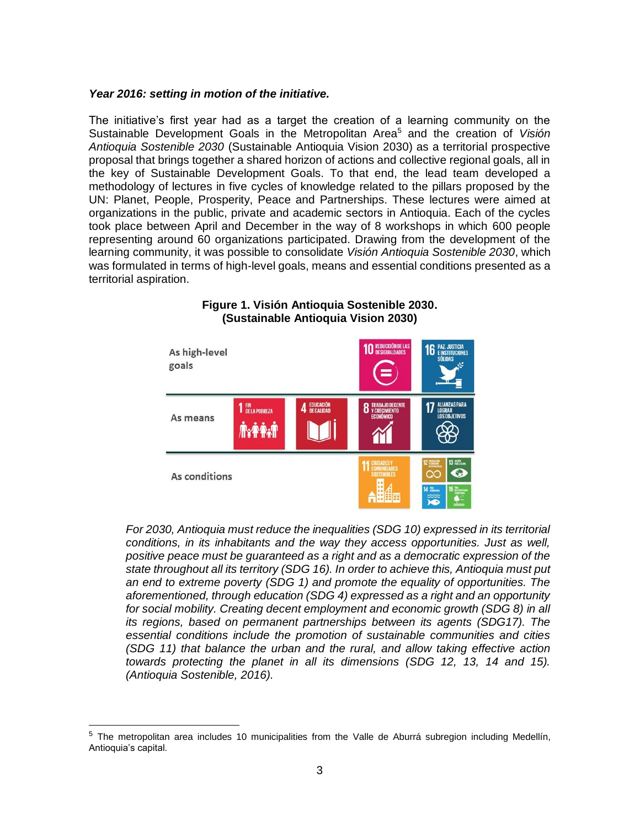#### *Year 2016: setting in motion of the initiative.*

The initiative's first year had as a target the creation of a learning community on the Sustainable Development Goals in the Metropolitan Area<sup>5</sup> and the creation of *Visión Antioquia Sostenible 2030* (Sustainable Antioquia Vision 2030) as a territorial prospective proposal that brings together a shared horizon of actions and collective regional goals, all in the key of Sustainable Development Goals. To that end, the lead team developed a methodology of lectures in five cycles of knowledge related to the pillars proposed by the UN: Planet, People, Prosperity, Peace and Partnerships. These lectures were aimed at organizations in the public, private and academic sectors in Antioquia. Each of the cycles took place between April and December in the way of 8 workshops in which 600 people representing around 60 organizations participated. Drawing from the development of the learning community, it was possible to consolidate *Visión Antioquia Sostenible 2030*, which was formulated in terms of high-level goals, means and essential conditions presented as a territorial aspiration.



#### **Figure 1. Visión Antioquia Sostenible 2030. (Sustainable Antioquia Vision 2030)**

*For 2030, Antioquia must reduce the inequalities (SDG 10) expressed in its territorial conditions, in its inhabitants and the way they access opportunities. Just as well, positive peace must be guaranteed as a right and as a democratic expression of the state throughout all its territory (SDG 16). In order to achieve this, Antioquia must put an end to extreme poverty (SDG 1) and promote the equality of opportunities. The aforementioned, through education (SDG 4) expressed as a right and an opportunity for social mobility. Creating decent employment and economic growth (SDG 8) in all its regions, based on permanent partnerships between its agents (SDG17). The essential conditions include the promotion of sustainable communities and cities (SDG 11) that balance the urban and the rural, and allow taking effective action towards protecting the planet in all its dimensions (SDG 12, 13, 14 and 15). (Antioquia Sostenible, 2016).*

 $\overline{a}$ 

 $5$  The metropolitan area includes 10 municipalities from the Valle de Aburrá subregion including Medellín, Antioquia's capital.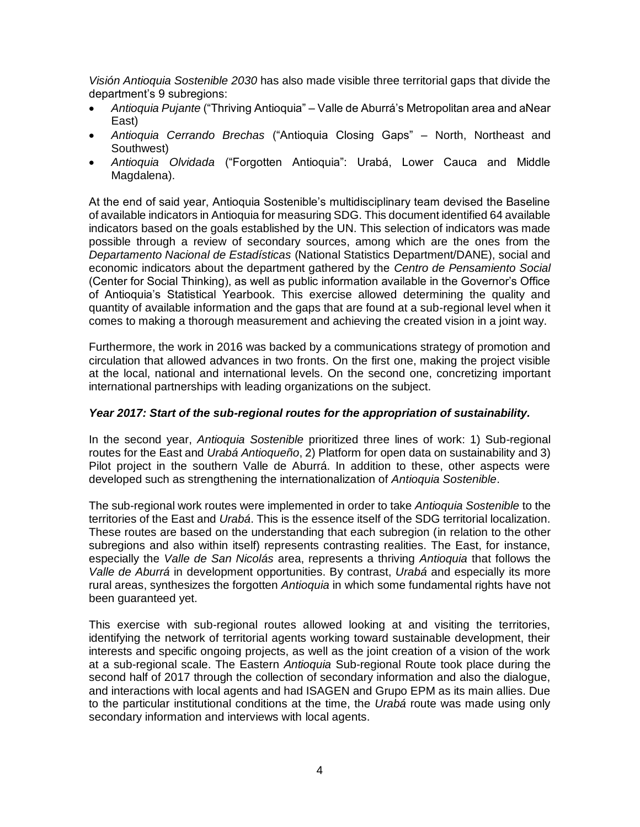*Visión Antioquia Sostenible 2030* has also made visible three territorial gaps that divide the department's 9 subregions:

- *Antioquia Pujante* ("Thriving Antioquia" Valle de Aburrá's Metropolitan area and aNear East)
- *Antioquia Cerrando Brechas* ("Antioquia Closing Gaps" North, Northeast and Southwest)
- *Antioquia Olvidada* ("Forgotten Antioquia": Urabá, Lower Cauca and Middle Magdalena).

At the end of said year, Antioquia Sostenible's multidisciplinary team devised the Baseline of available indicators in Antioquia for measuring SDG. This document identified 64 available indicators based on the goals established by the UN. This selection of indicators was made possible through a review of secondary sources, among which are the ones from the *Departamento Nacional de Estadísticas* (National Statistics Department/DANE), social and economic indicators about the department gathered by the *Centro de Pensamiento Social* (Center for Social Thinking), as well as public information available in the Governor's Office of Antioquia's Statistical Yearbook. This exercise allowed determining the quality and quantity of available information and the gaps that are found at a sub-regional level when it comes to making a thorough measurement and achieving the created vision in a joint way.

Furthermore, the work in 2016 was backed by a communications strategy of promotion and circulation that allowed advances in two fronts. On the first one, making the project visible at the local, national and international levels. On the second one, concretizing important international partnerships with leading organizations on the subject.

#### *Year 2017: Start of the sub-regional routes for the appropriation of sustainability.*

In the second year, *Antioquia Sostenible* prioritized three lines of work: 1) Sub-regional routes for the East and *Urabá Antioqueño*, 2) Platform for open data on sustainability and 3) Pilot project in the southern Valle de Aburrá. In addition to these, other aspects were developed such as strengthening the internationalization of *Antioquia Sostenible*.

The sub-regional work routes were implemented in order to take *Antioquia Sostenible* to the territories of the East and *Urabá*. This is the essence itself of the SDG territorial localization. These routes are based on the understanding that each subregion (in relation to the other subregions and also within itself) represents contrasting realities. The East, for instance, especially the *Valle de San Nicolás* area, represents a thriving *Antioquia* that follows the *Valle de Aburrá* in development opportunities. By contrast, *Urabá* and especially its more rural areas, synthesizes the forgotten *Antioquia* in which some fundamental rights have not been guaranteed yet.

This exercise with sub-regional routes allowed looking at and visiting the territories, identifying the network of territorial agents working toward sustainable development, their interests and specific ongoing projects, as well as the joint creation of a vision of the work at a sub-regional scale. The Eastern *Antioquia* Sub-regional Route took place during the second half of 2017 through the collection of secondary information and also the dialogue, and interactions with local agents and had ISAGEN and Grupo EPM as its main allies. Due to the particular institutional conditions at the time, the *Urabá* route was made using only secondary information and interviews with local agents.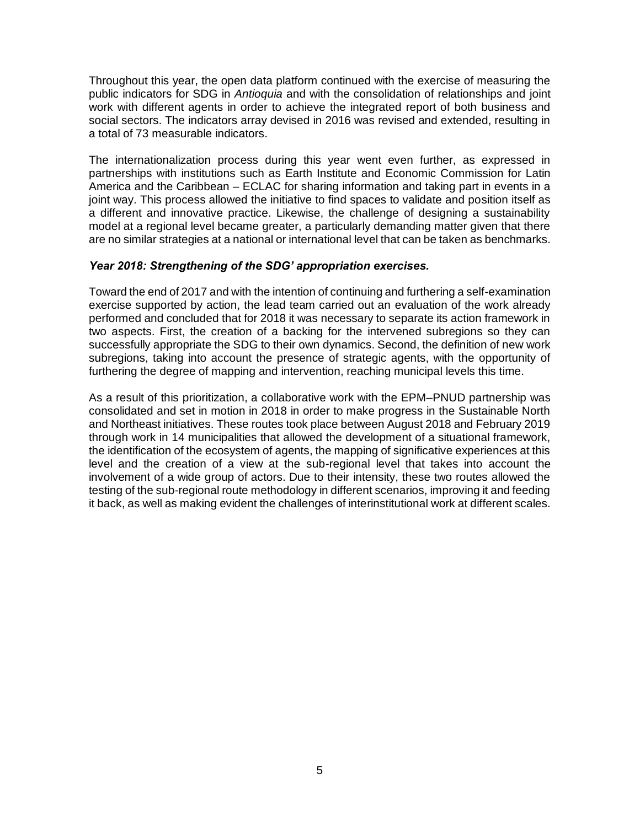Throughout this year, the open data platform continued with the exercise of measuring the public indicators for SDG in *Antioquia* and with the consolidation of relationships and joint work with different agents in order to achieve the integrated report of both business and social sectors. The indicators array devised in 2016 was revised and extended, resulting in a total of 73 measurable indicators.

The internationalization process during this year went even further, as expressed in partnerships with institutions such as Earth Institute and Economic Commission for Latin America and the Caribbean – ECLAC for sharing information and taking part in events in a joint way. This process allowed the initiative to find spaces to validate and position itself as a different and innovative practice. Likewise, the challenge of designing a sustainability model at a regional level became greater, a particularly demanding matter given that there are no similar strategies at a national or international level that can be taken as benchmarks.

#### *Year 2018: Strengthening of the SDG' appropriation exercises.*

Toward the end of 2017 and with the intention of continuing and furthering a self-examination exercise supported by action, the lead team carried out an evaluation of the work already performed and concluded that for 2018 it was necessary to separate its action framework in two aspects. First, the creation of a backing for the intervened subregions so they can successfully appropriate the SDG to their own dynamics. Second, the definition of new work subregions, taking into account the presence of strategic agents, with the opportunity of furthering the degree of mapping and intervention, reaching municipal levels this time.

As a result of this prioritization, a collaborative work with the EPM–PNUD partnership was consolidated and set in motion in 2018 in order to make progress in the Sustainable North and Northeast initiatives. These routes took place between August 2018 and February 2019 through work in 14 municipalities that allowed the development of a situational framework, the identification of the ecosystem of agents, the mapping of significative experiences at this level and the creation of a view at the sub-regional level that takes into account the involvement of a wide group of actors. Due to their intensity, these two routes allowed the testing of the sub-regional route methodology in different scenarios, improving it and feeding it back, as well as making evident the challenges of interinstitutional work at different scales.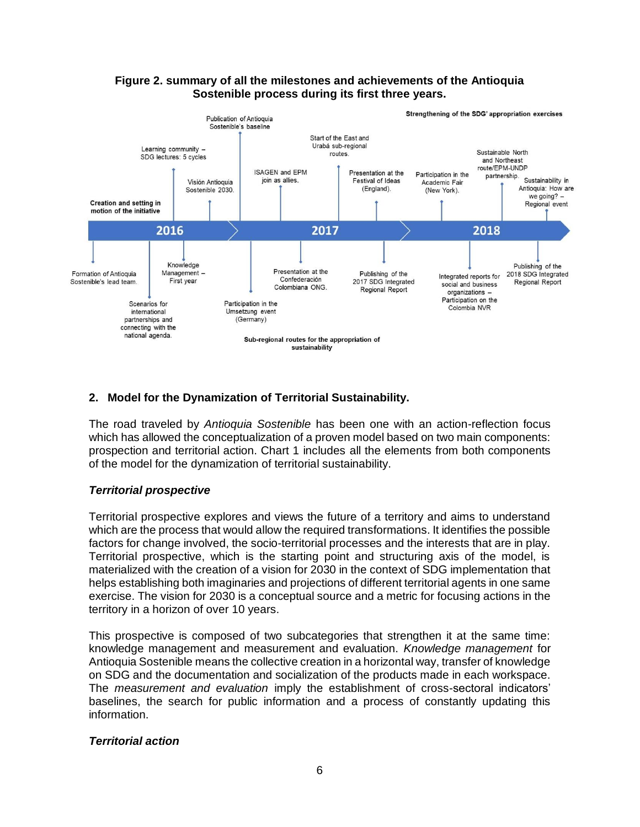

## **Figure 2. summary of all the milestones and achievements of the Antioquia Sostenible process during its first three years.**

# **2. Model for the Dynamization of Territorial Sustainability.**

The road traveled by *Antioquia Sostenible* has been one with an action-reflection focus which has allowed the conceptualization of a proven model based on two main components: prospection and territorial action. Chart 1 includes all the elements from both components of the model for the dynamization of territorial sustainability.

### *Territorial prospective*

Territorial prospective explores and views the future of a territory and aims to understand which are the process that would allow the required transformations. It identifies the possible factors for change involved, the socio-territorial processes and the interests that are in play. Territorial prospective, which is the starting point and structuring axis of the model, is materialized with the creation of a vision for 2030 in the context of SDG implementation that helps establishing both imaginaries and projections of different territorial agents in one same exercise. The vision for 2030 is a conceptual source and a metric for focusing actions in the territory in a horizon of over 10 years.

This prospective is composed of two subcategories that strengthen it at the same time: knowledge management and measurement and evaluation. *Knowledge management* for Antioquia Sostenible means the collective creation in a horizontal way, transfer of knowledge on SDG and the documentation and socialization of the products made in each workspace. The *measurement and evaluation* imply the establishment of cross-sectoral indicators' baselines, the search for public information and a process of constantly updating this information.

### *Territorial action*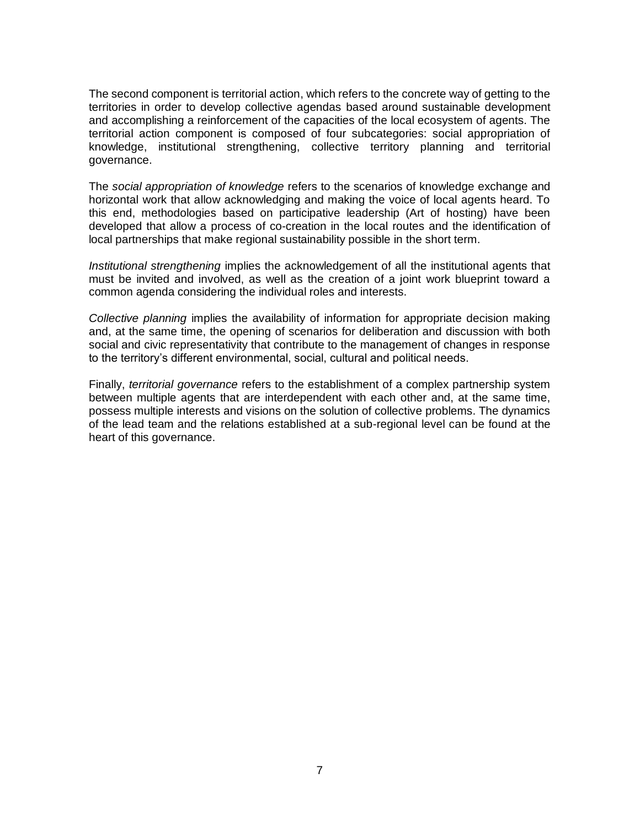The second component is territorial action, which refers to the concrete way of getting to the territories in order to develop collective agendas based around sustainable development and accomplishing a reinforcement of the capacities of the local ecosystem of agents. The territorial action component is composed of four subcategories: social appropriation of knowledge, institutional strengthening, collective territory planning and territorial governance.

The *social appropriation of knowledge* refers to the scenarios of knowledge exchange and horizontal work that allow acknowledging and making the voice of local agents heard. To this end, methodologies based on participative leadership (Art of hosting) have been developed that allow a process of co-creation in the local routes and the identification of local partnerships that make regional sustainability possible in the short term.

*Institutional strengthening* implies the acknowledgement of all the institutional agents that must be invited and involved, as well as the creation of a joint work blueprint toward a common agenda considering the individual roles and interests.

*Collective planning* implies the availability of information for appropriate decision making and, at the same time, the opening of scenarios for deliberation and discussion with both social and civic representativity that contribute to the management of changes in response to the territory's different environmental, social, cultural and political needs.

Finally, *territorial governance* refers to the establishment of a complex partnership system between multiple agents that are interdependent with each other and, at the same time, possess multiple interests and visions on the solution of collective problems. The dynamics of the lead team and the relations established at a sub-regional level can be found at the heart of this governance.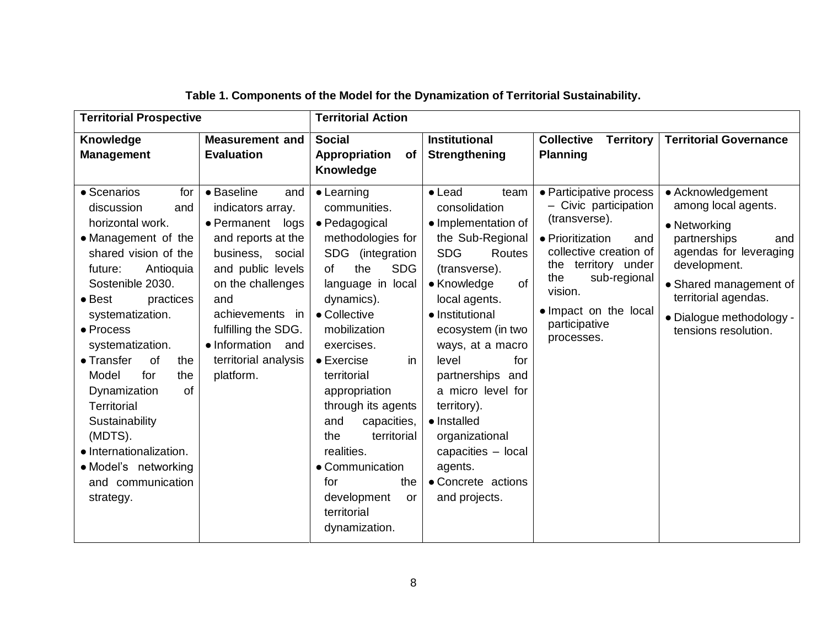| <b>Territorial Prospective</b>                                                                                                                                                                                                                                                                                                                                                                                                                             |                                                                                                                                                                                                                                                                 | <b>Territorial Action</b>                                                                                                                                                                                                                                                                                                                                                                                                                  |                                                                                                                                                                                                                                                                                                                                                                                                                       |                                                                                                                                                                                                                                         |                                                                                                                                                                                                                                 |  |
|------------------------------------------------------------------------------------------------------------------------------------------------------------------------------------------------------------------------------------------------------------------------------------------------------------------------------------------------------------------------------------------------------------------------------------------------------------|-----------------------------------------------------------------------------------------------------------------------------------------------------------------------------------------------------------------------------------------------------------------|--------------------------------------------------------------------------------------------------------------------------------------------------------------------------------------------------------------------------------------------------------------------------------------------------------------------------------------------------------------------------------------------------------------------------------------------|-----------------------------------------------------------------------------------------------------------------------------------------------------------------------------------------------------------------------------------------------------------------------------------------------------------------------------------------------------------------------------------------------------------------------|-----------------------------------------------------------------------------------------------------------------------------------------------------------------------------------------------------------------------------------------|---------------------------------------------------------------------------------------------------------------------------------------------------------------------------------------------------------------------------------|--|
| Knowledge<br><b>Management</b>                                                                                                                                                                                                                                                                                                                                                                                                                             | <b>Measurement and</b><br><b>Evaluation</b>                                                                                                                                                                                                                     | <b>Social</b><br>Appropriation<br>of<br>Knowledge                                                                                                                                                                                                                                                                                                                                                                                          | <b>Institutional</b><br>Strengthening                                                                                                                                                                                                                                                                                                                                                                                 | <b>Collective</b><br><b>Territory</b><br><b>Planning</b>                                                                                                                                                                                | <b>Territorial Governance</b>                                                                                                                                                                                                   |  |
| • Scenarios<br>for<br>discussion<br>and<br>horizontal work.<br>• Management of the<br>shared vision of the<br>Antioquia<br>future:<br>Sostenible 2030.<br>$\bullet$ Best<br>practices<br>systematization.<br>• Process<br>systematization.<br>• Transfer<br>of<br>the<br>for<br>Model<br>the<br>of<br>Dynamization<br><b>Territorial</b><br>Sustainability<br>(MDTS).<br>· Internationalization.<br>• Model's networking<br>and communication<br>strategy. | • Baseline<br>and<br>indicators array.<br>• Permanent<br>logs<br>and reports at the<br>business, social<br>and public levels<br>on the challenges<br>and<br>achievements in<br>fulfilling the SDG.<br>• Information<br>and<br>territorial analysis<br>platform. | $\bullet$ Learning<br>communities.<br>• Pedagogical<br>methodologies for<br>SDG (integration<br><b>SDG</b><br>the<br>of<br>language in local<br>dynamics).<br>• Collective<br>mobilization<br>exercises.<br>in<br>$\bullet$ Exercise<br>territorial<br>appropriation<br>through its agents<br>capacities,<br>and<br>territorial<br>the<br>realities.<br>• Communication<br>for<br>the<br>development<br>or<br>territorial<br>dynamization. | $\bullet$ Lead<br>team<br>consolidation<br>• Implementation of<br>the Sub-Regional<br><b>SDG</b><br>Routes<br>(transverse).<br>• Knowledge<br><b>of</b><br>local agents.<br>• Institutional<br>ecosystem (in two<br>ways, at a macro<br>level<br>for<br>partnerships and<br>a micro level for<br>territory).<br>• Installed<br>organizational<br>capacities - local<br>agents.<br>• Concrete actions<br>and projects. | • Participative process<br>- Civic participation<br>(transverse).<br>• Prioritization<br>and<br>collective creation of<br>the territory under<br>sub-regional<br>the<br>vision.<br>• Impact on the local<br>participative<br>processes. | • Acknowledgement<br>among local agents.<br>• Networking<br>partnerships<br>and<br>agendas for leveraging<br>development.<br>• Shared management of<br>territorial agendas.<br>• Dialogue methodology -<br>tensions resolution. |  |

|  |  |  | Table 1. Components of the Model for the Dynamization of Territorial Sustainability. |
|--|--|--|--------------------------------------------------------------------------------------|
|--|--|--|--------------------------------------------------------------------------------------|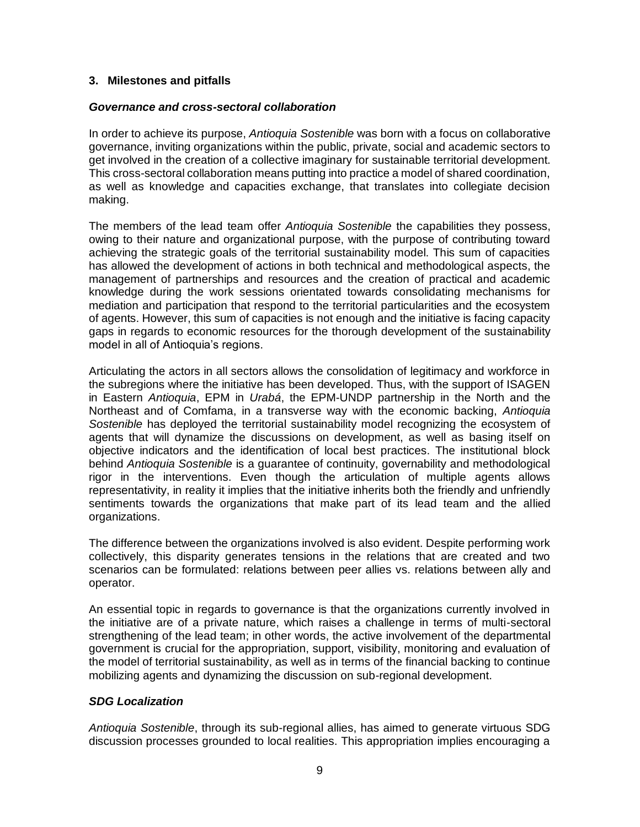## **3. Milestones and pitfalls**

#### *Governance and cross-sectoral collaboration*

In order to achieve its purpose, *Antioquia Sostenible* was born with a focus on collaborative governance, inviting organizations within the public, private, social and academic sectors to get involved in the creation of a collective imaginary for sustainable territorial development. This cross-sectoral collaboration means putting into practice a model of shared coordination, as well as knowledge and capacities exchange, that translates into collegiate decision making.

The members of the lead team offer *Antioquia Sostenible* the capabilities they possess, owing to their nature and organizational purpose, with the purpose of contributing toward achieving the strategic goals of the territorial sustainability model. This sum of capacities has allowed the development of actions in both technical and methodological aspects, the management of partnerships and resources and the creation of practical and academic knowledge during the work sessions orientated towards consolidating mechanisms for mediation and participation that respond to the territorial particularities and the ecosystem of agents. However, this sum of capacities is not enough and the initiative is facing capacity gaps in regards to economic resources for the thorough development of the sustainability model in all of Antioquia's regions.

Articulating the actors in all sectors allows the consolidation of legitimacy and workforce in the subregions where the initiative has been developed. Thus, with the support of ISAGEN in Eastern *Antioquia*, EPM in *Urabá*, the EPM-UNDP partnership in the North and the Northeast and of Comfama, in a transverse way with the economic backing, *Antioquia Sostenible* has deployed the territorial sustainability model recognizing the ecosystem of agents that will dynamize the discussions on development, as well as basing itself on objective indicators and the identification of local best practices. The institutional block behind *Antioquia Sostenible* is a guarantee of continuity, governability and methodological rigor in the interventions. Even though the articulation of multiple agents allows representativity, in reality it implies that the initiative inherits both the friendly and unfriendly sentiments towards the organizations that make part of its lead team and the allied organizations.

The difference between the organizations involved is also evident. Despite performing work collectively, this disparity generates tensions in the relations that are created and two scenarios can be formulated: relations between peer allies vs. relations between ally and operator.

An essential topic in regards to governance is that the organizations currently involved in the initiative are of a private nature, which raises a challenge in terms of multi-sectoral strengthening of the lead team; in other words, the active involvement of the departmental government is crucial for the appropriation, support, visibility, monitoring and evaluation of the model of territorial sustainability, as well as in terms of the financial backing to continue mobilizing agents and dynamizing the discussion on sub-regional development.

### *SDG Localization*

*Antioquia Sostenible*, through its sub-regional allies, has aimed to generate virtuous SDG discussion processes grounded to local realities. This appropriation implies encouraging a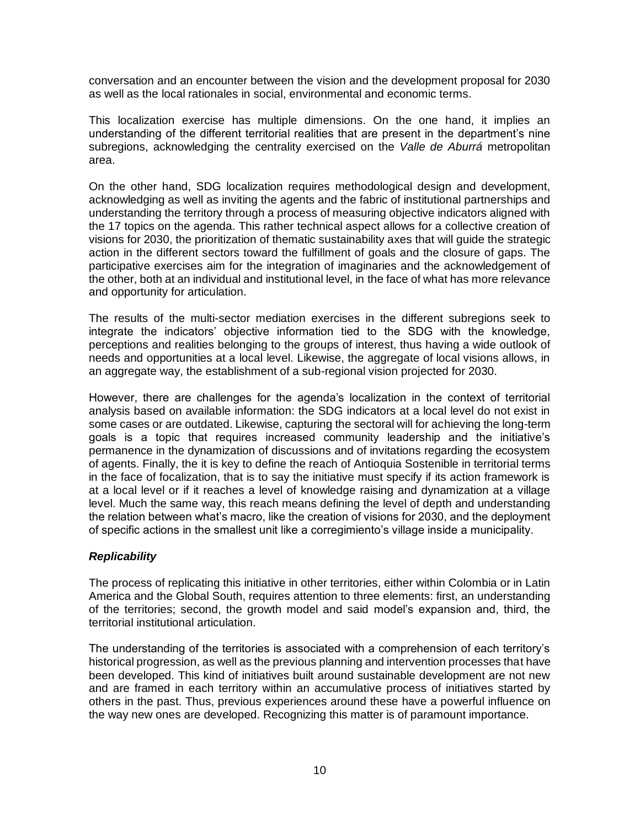conversation and an encounter between the vision and the development proposal for 2030 as well as the local rationales in social, environmental and economic terms.

This localization exercise has multiple dimensions. On the one hand, it implies an understanding of the different territorial realities that are present in the department's nine subregions, acknowledging the centrality exercised on the *Valle de Aburrá* metropolitan area.

On the other hand, SDG localization requires methodological design and development, acknowledging as well as inviting the agents and the fabric of institutional partnerships and understanding the territory through a process of measuring objective indicators aligned with the 17 topics on the agenda. This rather technical aspect allows for a collective creation of visions for 2030, the prioritization of thematic sustainability axes that will guide the strategic action in the different sectors toward the fulfillment of goals and the closure of gaps. The participative exercises aim for the integration of imaginaries and the acknowledgement of the other, both at an individual and institutional level, in the face of what has more relevance and opportunity for articulation.

The results of the multi-sector mediation exercises in the different subregions seek to integrate the indicators' objective information tied to the SDG with the knowledge, perceptions and realities belonging to the groups of interest, thus having a wide outlook of needs and opportunities at a local level. Likewise, the aggregate of local visions allows, in an aggregate way, the establishment of a sub-regional vision projected for 2030.

However, there are challenges for the agenda's localization in the context of territorial analysis based on available information: the SDG indicators at a local level do not exist in some cases or are outdated. Likewise, capturing the sectoral will for achieving the long-term goals is a topic that requires increased community leadership and the initiative's permanence in the dynamization of discussions and of invitations regarding the ecosystem of agents. Finally, the it is key to define the reach of Antioquia Sostenible in territorial terms in the face of focalization, that is to say the initiative must specify if its action framework is at a local level or if it reaches a level of knowledge raising and dynamization at a village level. Much the same way, this reach means defining the level of depth and understanding the relation between what's macro, like the creation of visions for 2030, and the deployment of specific actions in the smallest unit like a corregimiento's village inside a municipality.

### *Replicability*

The process of replicating this initiative in other territories, either within Colombia or in Latin America and the Global South, requires attention to three elements: first, an understanding of the territories; second, the growth model and said model's expansion and, third, the territorial institutional articulation.

The understanding of the territories is associated with a comprehension of each territory's historical progression, as well as the previous planning and intervention processes that have been developed. This kind of initiatives built around sustainable development are not new and are framed in each territory within an accumulative process of initiatives started by others in the past. Thus, previous experiences around these have a powerful influence on the way new ones are developed. Recognizing this matter is of paramount importance.